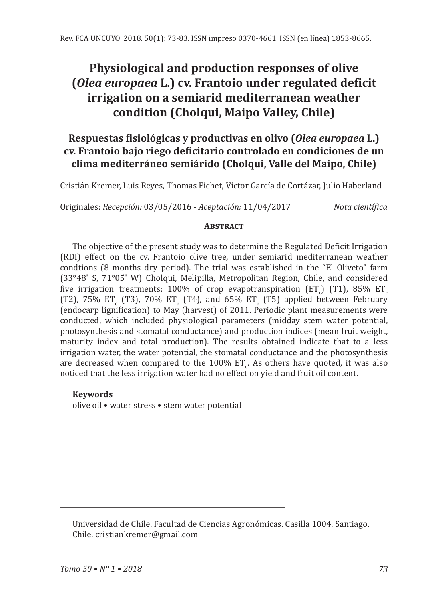# **Physiological and production responses of olive (***Olea europaea* **L.) cv. Frantoio under regulated deficit irrigation on a semiarid mediterranean weather condition (Cholqui, Maipo Valley, Chile)**

## **Respuestas fisiológicas y productivas en olivo (***Olea europaea* **L.) cv. Frantoio bajo riego deficitario controlado en condiciones de un clima mediterráneo semiárido (Cholqui, Valle del Maipo, Chile)**

Cristián Kremer, Luis Reyes, Thomas Fichet, Víctor García de Cortázar, Julio Haberland

Originales: *Recepción:* 03/05/2016 - *Aceptación:* 11/04/2017 *Nota científica*

#### **ABSTRACT**

The objective of the present study was to determine the Regulated Deficit Irrigation (RDI) effect on the cv. Frantoio olive tree, under semiarid mediterranean weather condtions (8 months dry period). The trial was established in the "El Oliveto" farm (33°48' S, 71°05' W) Cholqui, Melipilla, Metropolitan Region, Chile, and considered five irrigation treatments: 100% of crop evapotranspiration (ETU) (TT), 85% ETC<br>CEO ETCL FE CEO EQUATE CEO EL CEO FE CEO EL LUI LUI LUI FU (T2), 75% ET<sub>c</sub> (T3), 70% ET<sub>c</sub> (T4), and 65% ET<sub>c</sub> (T5) applied between February (endocarp lignification) to May (harvest) of 2011. Periodic plant measurements were conducted, which included physiological parameters (midday stem water potential, photosynthesis and stomatal conductance) and production indices (mean fruit weight, maturity index and total production). The results obtained indicate that to a less irrigation water, the water potential, the stomatal conductance and the photosynthesis are decreased when compared to the  $100\%$  ET<sub>c</sub>. As others have quoted, it was also noticed that the less irrigation water had no effect on yield and fruit oil content.

## **Keywords**

olive oil • water stress • stem water potential

Universidad de Chile. Facultad de Ciencias Agronómicas. Casilla 1004. Santiago. Chile. cristiankremer@gmail.com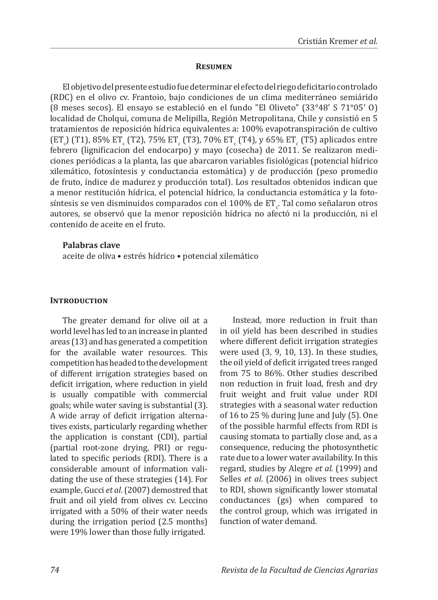#### **Resumen**

El objetivo del presente estudio fue determinar el efecto del riego deficitario controlado (RDC) en el olivo cv. Frantoio, bajo condiciones de un clima mediterráneo semiárido (8 meses secos). El ensayo se estableció en el fundo "El Oliveto" (33°48' S 71°05' O) localidad de Cholqui, comuna de Melipilla, Región Metropolitana, Chile y consistió en 5 tratamientos de reposición hídrica equivalentes a: 100% evapotranspiración de cultivo  $({\rm ET}_{\rm c})$  (T1), 85% ET<sub>c</sub> (T2), 75% ET<sub>c</sub> (T3), 70% ET<sub>c</sub> (T4), y 65% ET<sub>c</sub> (T5) aplicados entre febrero (lignificacion del endocarpo) y mayo (cosecha) de 2011. Se realizaron mediciones periódicas a la planta, las que abarcaron variables fisiológicas (potencial hídrico xilemático, fotosíntesis y conductancia estomática) y de producción (peso promedio de fruto, índice de madurez y producción total). Los resultados obtenidos indican que a menor restitución hídrica, el potencial hídrico, la conductancia estomática y la fotosíntesis se ven disminuidos comparados con el 100% de ET<sub>c</sub>. Tal como señalaron otros autores, se observó que la menor reposición hídrica no afectó ni la producción, ni el contenido de aceite en el fruto.

#### **Palabras clave**

aceite de oliva • estrés hídrico • potencial xilemático

#### **INTRODUCTION**

The greater demand for olive oil at a world level has led to an increase in planted areas (13) and has generated a competition for the available water resources. This competition has headed to the development of different irrigation strategies based on deficit irrigation, where reduction in yield is usually compatible with commercial goals; while water saving is substantial (3). A wide array of deficit irrigation alternatives exists, particularly regarding whether the application is constant (CDI), partial (partial root-zone drying, PRI) or regulated to specific periods (RDI). There is a considerable amount of information validating the use of these strategies (14). For example, Gucci *et al*. (2007) demostred that fruit and oil yield from olives cv. Leccino irrigated with a 50% of their water needs during the irrigation period (2.5 months) were 19% lower than those fully irrigated.

Instead, more reduction in fruit than in oil yield has been described in studies where different deficit irrigation strategies were used (3, 9, 10, 13). In these studies, the oil yield of deficit irrigated trees ranged from 75 to 86%. Other studies described non reduction in fruit load, fresh and dry fruit weight and fruit value under RDI strategies with a seasonal water reduction of 16 to 25  $%$  during June and July (5). One of the possible harmful effects from RDI is causing stomata to partially close and, as a consequence, reducing the photosynthetic rate due to a lower water availability. In this regard, studies by Alegre *et al*. (1999) and Selles *et al*. (2006) in olives trees subject to RDI, shown significantly lower stomatal conductances (gs) when compared to the control group, which was irrigated in function of water demand.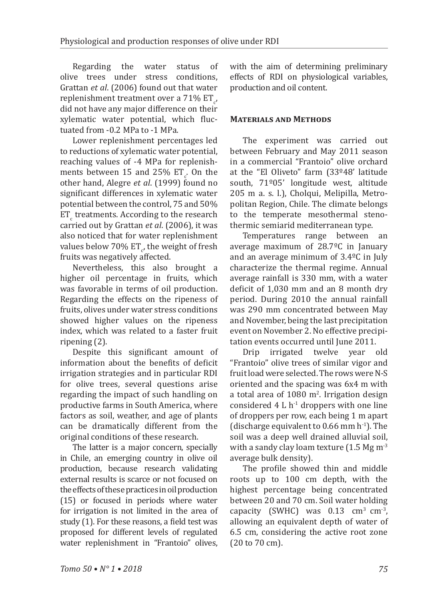Regarding the water status of olive trees under stress conditions, Grattan *et al*. (2006) found out that water replenishment treatment over a  $71\%$  ET<sub>c</sub>, did not have any major difference on their xylematic water potential, which fluctuated from -0.2 MPa to -1 MPa.

Lower replenishment percentages led to reductions of xylematic water potential, reaching values of -4 MPa for replenishments between 15 and  $25\%$  ET<sub>c</sub>. On the other hand, Alegre *et al*. (1999) found no significant differences in xylematic water potential between the control, 75 and 50%  $ET_c$  treatments. According to the research carried out by Grattan *et al*. (2006), it was also noticed that for water replenishment values below 70% ET $_{c'}$  the weight of fresh fruits was negatively affected.

Nevertheless, this also brought a higher oil percentage in fruits, which was favorable in terms of oil production. Regarding the effects on the ripeness of fruits, olives under water stress conditions showed higher values on the ripeness index, which was related to a faster fruit ripening (2).

Despite this significant amount of information about the benefits of deficit irrigation strategies and in particular RDI for olive trees, several questions arise regarding the impact of such handling on productive farms in South America, where factors as soil, weather, and age of plants can be dramatically different from the original conditions of these research.

The latter is a major concern, specially in Chile, an emerging country in olive oil production, because research validating external results is scarce or not focused on the effects of these practices in oil production (15) or focused in periods where water for irrigation is not limited in the area of study (1). For these reasons, a field test was proposed for different levels of regulated water replenishment in "Frantoio" olives, with the aim of determining preliminary effects of RDI on physiological variables, production and oil content.

#### **Materials and Methods**

The experiment was carried out between February and May 2011 season in a commercial "Frantoio" olive orchard at the "El Oliveto" farm (33º48' latitude south, 71º05' longitude west, altitude 205 m a. s. l.), Cholqui, Melipilla, Metropolitan Region, Chile. The climate belongs to the temperate mesothermal stenothermic semiarid mediterranean type.

Temperatures range between an average maximum of 28.7ºC in January and an average minimum of 3.4ºC in July characterize the thermal regime. Annual average rainfall is 330 mm, with a water deficit of 1,030 mm and an 8 month dry period. During 2010 the annual rainfall was 290 mm concentrated between May and November, being the last precipitation event on November 2. No effective precipi-

tation events occurred until June 2011.<br>Drip irrigated twelve vear old Drip irrigated twelve "Frantoio" olive trees of similar vigor and fruit load were selected. The rows were N-S oriented and the spacing was 6x4 m with a total area of  $1080 \text{ m}^2$ . Irrigation design considered  $4 L h^{-1}$  droppers with one line of droppers per row, each being 1 m apart (discharge equivalent to  $0.66$  mm  $h^{-1}$ ). The soil was a deep well drained alluvial soil, with a sandy clay loam texture  $(1.5 \text{ Mg m}^{-3})$ average bulk density).

The profile showed thin and middle roots up to 100 cm depth, with the highest percentage being concentrated between 20 and 70 cm. Soil water holding capacity (SWHC) was  $0.13 \text{ cm}^3 \text{ cm}^3$ , allowing an equivalent depth of water of 6.5 cm, considering the active root zone (20 to 70 cm).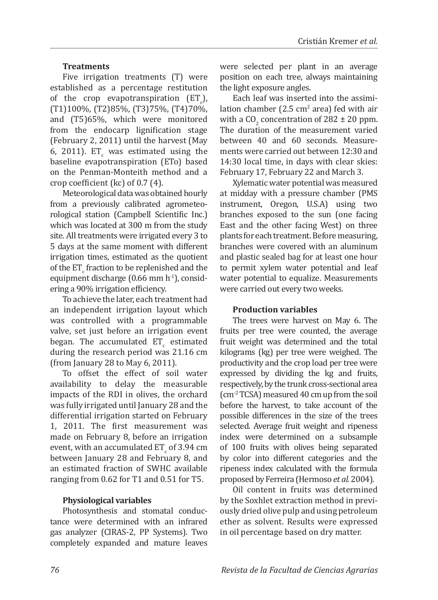## **Treatments**

Five irrigation treatments (T) were established as a percentage restitution of the crop evapotranspiration  $(E_{\perp})$ , (T1)100%, (T2)85%, (T3)75%, (T4)70%, and (T5)65%, which were monitored from the endocarp lignification stage (February 2, 2011) until the harvest (May 6, 2011). ET was estimated using the baseline evapotranspiration (ETo) based on the Penman-Monteith method and a crop coefficient (kc) of 0.7 (4).

Meteorological data was obtained hourly from a previously calibrated agrometeorological station (Campbell Scientific Inc.) which was located at 300 m from the study site. All treatments were irrigated every 3 to 5 days at the same moment with different irrigation times, estimated as the quotient of the ET<sub>c</sub> fraction to be replenished and the equipment discharge (0.66 mm  $h^{-1}$ ), considering a 90% irrigation efficiency.

To achieve the later, each treatment had an independent irrigation layout which was controlled with a programmable valve, set just before an irrigation event began. The accumulated  $ET_c$  estimated during the research period was 21.16 cm (from January 28 to May 6, 2011).

To offset the effect of soil water availability to delay the measurable impacts of the RDI in olives, the orchard was fully irrigated until January 28 and the differential irrigation started on February 1, 2011. The first measurement was made on February 8, before an irrigation event, with an accumulated  $ET<sub>c</sub>$  of 3.94 cm between January 28 and February 8, and an estimated fraction of SWHC available ranging from 0.62 for T1 and 0.51 for T5.

## **Physiological variables**

Photosynthesis and stomatal conductance were determined with an infrared gas analyzer (CIRAS-2, PP Systems). Two completely expanded and mature leaves were selected per plant in an average position on each tree, always maintaining the light exposure angles.

Each leaf was inserted into the assimilation chamber  $(2.5 \text{ cm}^2 \text{ area})$  fed with air with a  $CO_2$  concentration of 282  $\pm$  20 ppm. The duration of the measurement varied between 40 and 60 seconds. Measurements were carried out between 12:30 and 14:30 local time, in days with clear skies: February 17, February 22 and March 3.

Xylematic water potential was measured at midday with a pressure chamber (PMS instrument, Oregon, U.S.A) using two branches exposed to the sun (one facing East and the other facing West) on three plants for each treatment. Before measuring, branches were covered with an aluminum and plastic sealed bag for at least one hour to permit xylem water potential and leaf water potential to equalize. Measurements were carried out every two weeks.

## **Production variables**

The trees were harvest on May 6. The fruits per tree were counted, the average fruit weight was determined and the total kilograms (kg) per tree were weighed. The productivity and the crop load per tree were expressed by dividing the kg and fruits, respectively, by the trunk cross-sectional area (cm-2 TCSA) measured 40 cm up from the soil before the harvest, to take account of the possible differences in the size of the trees selected. Average fruit weight and ripeness index were determined on a subsample of 100 fruits with olives being separated by color into different categories and the ripeness index calculated with the formula proposed by Ferreira (Hermoso *et al.* 2004).

Oil content in fruits was determined by the Soxhlet extraction method in previously dried olive pulp and using petroleum ether as solvent. Results were expressed in oil percentage based on dry matter.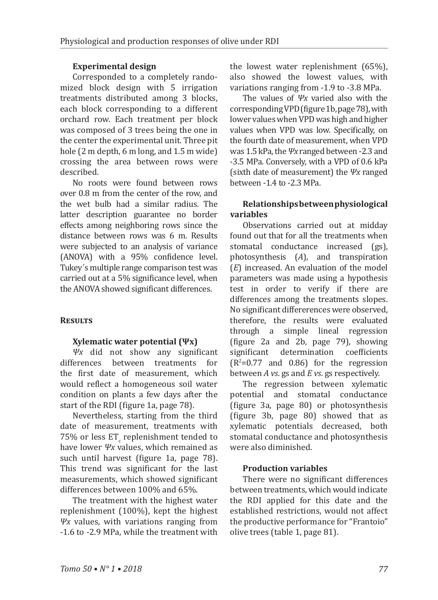## **Experimental design**

Corresponded to a completely randomized block design with 5 irrigation treatments distributed among 3 blocks, each block corresponding to a different orchard row. Each treatment per block was composed of 3 trees being the one in the center the experimental unit. Three pit hole (2 m depth, 6 m long, and 1.5 m wide) crossing the area between rows were described.

No roots were found between rows over 0.8 m from the center of the row, and the wet bulb had a similar radius. The latter description guarantee no border effects among neighboring rows since the distance between rows was 6 m. Results were subjected to an analysis of variance (ANOVA) with a 95% confidence level. Tukey´s multiple range comparison test was carried out at a 5% significance level, when the ANOVA showed significant differences.

## **Results**

## **Xylematic water potential (Ψx)**

*Ψx* did not show any significant differences between treatments for the first date of measurement, which would reflect a homogeneous soil water condition on plants a few days after the start of the RDI (figure 1a, page 78).

Nevertheless, starting from the third date of measurement, treatments with  $75\%$  or less ET $_{\rm c}$  replenishment tended to have lower *Ψx* values, which remained as such until harvest (figure 1a, page 78). This trend was significant for the last measurements, which showed significant differences between 100% and 65%.

The treatment with the highest water replenishment (100%), kept the highest *Ψx* values, with variations ranging from -1.6 to -2.9 MPa, while the treatment with the lowest water replenishment (65%), also showed the lowest values, with variations ranging from -1.9 to -3.8 MPa.

The values of *Ψx* varied also with the corresponding VPD (figure 1b, page 78), with lower values when VPD was high and higher values when VPD was low. Specifically, on the fourth date of measurement, when VPD was 1.5 kPa, the *Ψx* ranged between -2.3 and -3.5 MPa. Conversely, with a VPD of 0.6 kPa (sixth date of measurement) the *Ψx* ranged between -1.4 to -2.3 MPa.

## **Relationships between physiological variables**

Observations carried out at midday found out that for all the treatments when stomatal conductance increased (gs), photosynthesis (*A*), and transpiration (*E*) increased. An evaluation of the model parameters was made using a hypothesis test in order to verify if there are differences among the treatments slopes. No significant differerences were observed, therefore, the results were evaluated through a simple lineal regression (figure 2a and 2b, page 79), showing determination  $(R<sup>2</sup>=0.77$  and 0.86) for the regression between *A vs*. gs and *E vs*. gs respectively.

The regression between xylematic potential and stomatal conductance (figure 3a, page 80) or photosynthesis (figure 3b, page 80) showed that as xylematic potentials decreased, both stomatal conductance and photosynthesis were also diminished.

## **Production variables**

There were no significant differences between treatments, which would indicate the RDI applied for this date and the established restrictions, would not affect the productive performance for "Frantoio" olive trees (table 1, page 81).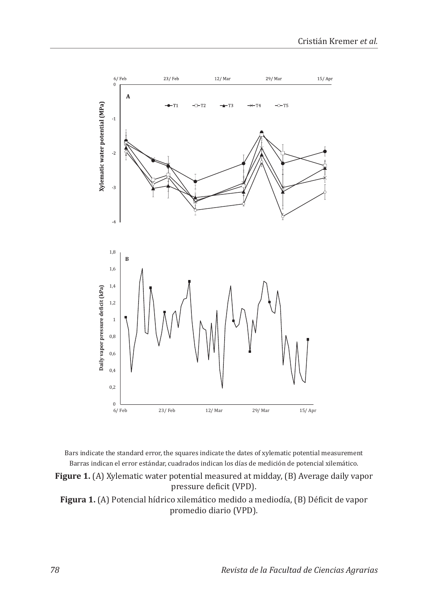

Bars indicate the standard error, the squares indicate the dates of xylematic potential measurement Barras indican el error estándar, cuadrados indican los días de medición de potencial xilemático.

**Figure 1.** (A) Xylematic water potential measured at midday, (B) Average daily vapor pressure deficit (VPD).

**Figura 1.** (A) Potencial hídrico xilemático medido a mediodía, (B) Déficit de vapor promedio diario (VPD).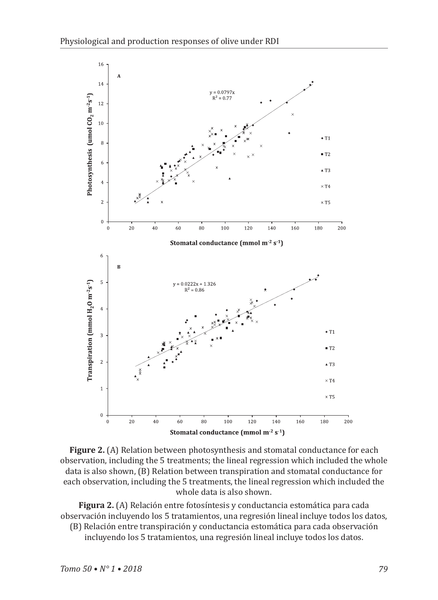

**Figure 2.** (A) Relation between photosynthesis and stomatal conductance for each observation, including the 5 treatments; the lineal regression which included the whole data is also shown, (B) Relation between transpiration and stomatal conductance for each observation, including the 5 treatments, the lineal regression which included the whole data is also shown.

**Figura 2.** (A) Relación entre fotosíntesis y conductancia estomática para cada observación incluyendo los 5 tratamientos, una regresión lineal incluye todos los datos,

(B) Relación entre transpiración y conductancia estomática para cada observación incluyendo los 5 tratamientos, una regresión lineal incluye todos los datos.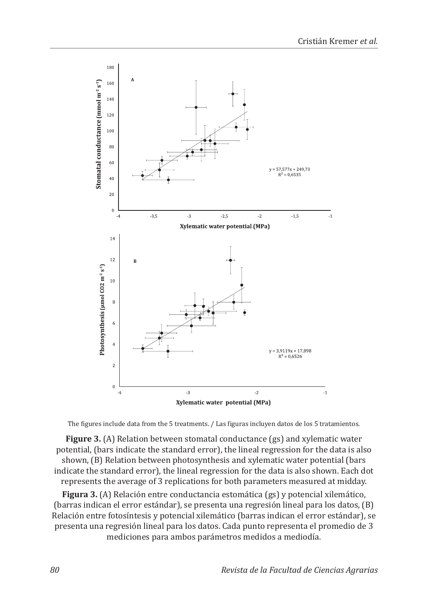

The figures include data from the 5 treatments. / Las figuras incluyen datos de los 5 tratamientos.

**Figure 3.** (A) Relation between stomatal conductance (gs) and xylematic water potential, (bars indicate the standard error), the lineal regression for the data is also shown, (B) Relation between photosynthesis and xylematic water potential (bars indicate the standard error), the lineal regression for the data is also shown. Each dot represents the average of 3 replications for both parameters measured at midday.

**Figura 3.** (A) Relación entre conductancia estomática (gs) y potencial xilemático, (barras indican el error estándar), se presenta una regresión lineal para los datos, (B) Relación entre fotosíntesis y potencial xilemático (barras indican el error estándar), se presenta una regresión lineal para los datos. Cada punto representa el promedio de 3 mediciones para ambos parámetros medidos a mediodía.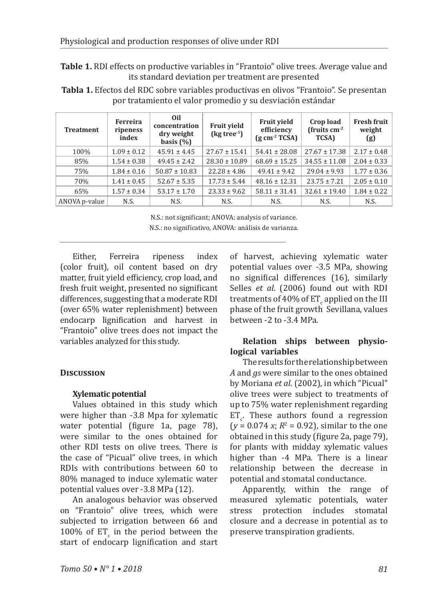**Table 1.** RDI effects on productive variables in "Frantoio" olive trees. Average value and its standard deviation per treatment are presented

**Tabla 1.** Efectos del RDC sobre variables productivas en olivos "Frantoio". Se presentan por tratamiento el valor promedio y su desviación estándar

| <b>Treatment</b> | Ferreira<br>ripeness<br>index | 0il<br>concentration<br>dry weight<br>basis $(\% )$ | <b>Fruit vield</b><br>$\left(\text{kg tree}^1\right)$ | <b>Fruit vield</b><br>efficiency<br>$\left($ g cm <sup>-2</sup> TCSA) | Crop load<br>(fruits $cm^{-2}$<br><b>TCSA)</b> | <b>Fresh fruit</b><br>weight<br>(g) |
|------------------|-------------------------------|-----------------------------------------------------|-------------------------------------------------------|-----------------------------------------------------------------------|------------------------------------------------|-------------------------------------|
| 100%             | $1.09 \pm 0.12$               | $45.91 \pm 4.45$                                    | $27.67 \pm 15.41$                                     | $54.41 \pm 28.08$                                                     | $27.67 \pm 17.38$                              | $2.17 \pm 0.48$                     |
| 85%              | $1.54 \pm 0.38$               | $49.45 \pm 2.42$                                    | $28.30 \pm 10.89$                                     | $68.69 \pm 15.25$                                                     | $34.55 \pm 11.08$                              | $2.04 \pm 0.33$                     |
| 75%              | $1.84 \pm 0.16$               | $50.87 \pm 10.83$                                   | $22.28 \pm 4.86$                                      | $49.41 \pm 9.42$                                                      | $29.04 \pm 9.93$                               | $1.77 \pm 0.36$                     |
| 70%              | $1.41 \pm 0.45$               | $52.67 \pm 5.35$                                    | $17.73 \pm 5.44$                                      | $48.16 \pm 12.31$                                                     | $23.75 \pm 7.21$                               | $2.05 \pm 0.10$                     |
| 65%              | $1.57 \pm 0.34$               | $53.17 \pm 1.70$                                    | $23.33 \pm 9.62$                                      | $58.11 \pm 31.41$                                                     | $32.61 \pm 19.40$                              | $1.84 \pm 0.22$                     |
| ANOVA p-value    | N.S.                          | N.S.                                                | N.S.                                                  | N.S.                                                                  | N.S.                                           | N.S.                                |

N.S.: not significant; ANOVA: analysis of variance. N.S.: no significativo, ANOVA: análisis de varianza.

Either, Ferreira ripeness index (color fruit), oil content based on dry matter, fruit yield efficiency, crop load, and fresh fruit weight, presented no significant differences, suggesting that a moderate RDI (over 65% water replenishment) between endocarp lignification and harvest in "Frantoio" olive trees does not impact the variables analyzed for this study.

## **Discussion**

## **Xylematic potential**

Values obtained in this study which were higher than -3.8 Mpa for xylematic water potential (figure 1a, page 78), were similar to the ones obtained for other RDI tests on olive trees. There is the case of "Picual" olive trees, in which RDIs with contributions between 60 to 80% managed to induce xylematic water potential values over -3.8 MPa (12).

An analogous behavior was observed on "Frantoio" olive trees, which were subjected to irrigation between 66 and  $100\%$  of ET<sub>c</sub> in the period between the start of endocarp lignification and start of harvest, achieving xylematic water potential values over -3.5 MPa, showing no significal differences (16), similarly Selles *et al*. (2006) found out with RDI treatments of 40% of ET $_{\rm c}$  applied on the III phase of the fruit growth Sevillana, values between -2 to -3.4 MPa.

## **Relation ships between physiological variables**

The results for the relationship between *A* and *gs* were similar to the ones obtained by Moriana *et al*. (2002), in which "Picual" olive trees were subject to treatments of up to 75% water replenishment regarding  $ET_c$ . These authors found a regression  $(y = 0.074 x; R^2 = 0.92)$ , similar to the one obtained in this study (figure 2a, page 79), for plants with midday xylematic values higher than -4 MPa. There is a linear relationship between the decrease in potential and stomatal conductance.

Apparently, within the range of measured xylematic potentials, water stress protection includes stomatal closure and a decrease in potential as to preserve transpiration gradients.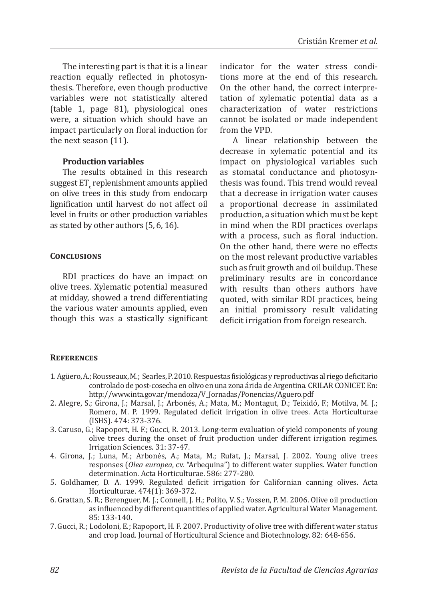The interesting part is that it is a linear reaction equally reflected in photosynthesis. Therefore, even though productive variables were not statistically altered (table 1, page 81), physiological ones were, a situation which should have an impact particularly on floral induction for the next season (11).

#### **Production variables**

The results obtained in this research suggest  $ET_c$  replenishment amounts applied on olive trees in this study from endocarp lignification until harvest do not affect oil level in fruits or other production variables as stated by other authors (5, 6, 16).

#### **Conclusions**

RDI practices do have an impact on olive trees. Xylematic potential measured at midday, showed a trend differentiating the various water amounts applied, even though this was a stastically significant indicator for the water stress conditions more at the end of this research. On the other hand, the correct interpretation of xylematic potential data as a characterization of water restrictions cannot be isolated or made independent from the VPD.

A linear relationship between the decrease in xylematic potential and its impact on physiological variables such as stomatal conductance and photosynthesis was found. This trend would reveal that a decrease in irrigation water causes a proportional decrease in assimilated production, a situation which must be kept in mind when the RDI practices overlaps with a process, such as floral induction. On the other hand, there were no effects on the most relevant productive variables such as fruit growth and oil buildup. These preliminary results are in concordance with results than others authors have quoted, with similar RDI practices, being an initial promissory result validating deficit irrigation from foreign research.

#### **References**

- 1. Agüero, A.; Rousseaux, M.; Searles, P. 2010. Respuestas fisiológicas y reproductivas al riego deficitario controlado de post-cosecha en olivo en una zona árida de Argentina. CRILAR CONICET. En: http://www.inta.gov.ar/mendoza/V\_Jornadas/Ponencias/Aguero.pdf
- 2. Alegre, S.; Girona, J.; Marsal, J.; Arbonés, A.; Mata, M.; Montagut, D.; Teixidó, F.; Motilva, M. J.; Romero, M. P. 1999. Regulated deficit irrigation in olive trees. Acta Horticulturae (ISHS). 474: 373-376.
- 3. Caruso, G.; Rapoport, H. F.; Gucci, R. 2013. Long-term evaluation of yield components of young olive trees during the onset of fruit production under different irrigation regimes. Irrigation Sciences. 31: 37-47.
- 4. Girona, J.; Luna, M.; Arbonés, A.; Mata, M.; Rufat, J.; Marsal, J. 2002. Young olive trees responses (*Olea europea*, cv. "Arbequina") to different water supplies. Water function determination. Acta Horticulturae. 586: 277-280.
- 5. Goldhamer, D. A. 1999. Regulated deficit irrigation for Californian canning olives. Acta Horticulturae. 474(1): 369-372.
- 6. Grattan, S. R.; Berenguer, M. J.; Connell, J. H.; Polito, V. S.; Vossen, P. M. 2006. Olive oil production as influenced by different quantities of applied water. Agricultural Water Management. 85: 133-140.
- 7. Gucci, R.; Lodoloni, E.; Rapoport, H. F. 2007. Productivity of olive tree with different water status and crop load. Journal of Horticultural Science and Biotechnology. 82: 648-656.